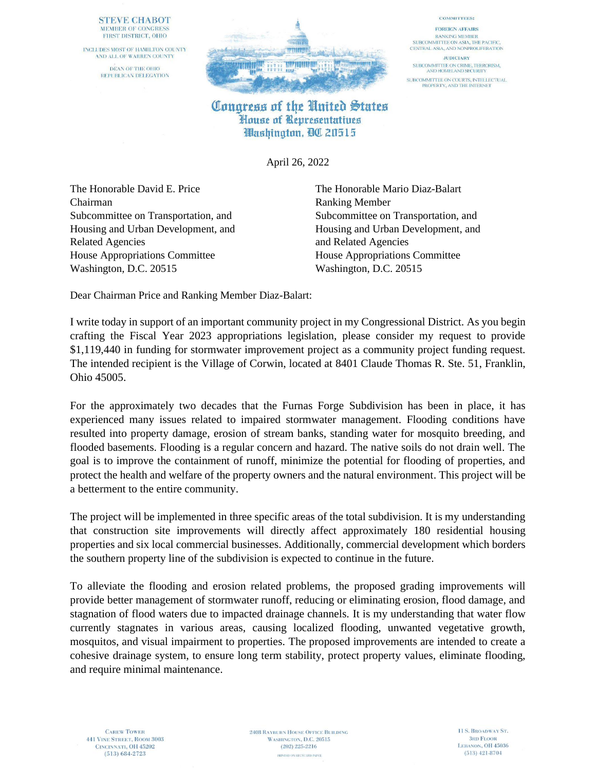## **STEVE CHABOT** MEMBER OF CONGRESS FIRST DISTRICT, OHIO

INCLUDES MOST OF HAMILTON COUNTY AND ALL OF WARREN COUNTY DEAN OF THE OHIO REPUBLICAN DELEGATION



## Congress of the United States House of Representatives Washington, QO 20515

April 26, 2022

The Honorable David E. Price The Honorable Mario Diaz-Balart Chairman Ranking Member Related Agencies and Related Agencies House Appropriations Committee House Appropriations Committee Washington, D.C. 20515 Washington, D.C. 20515

Subcommittee on Transportation, and Subcommittee on Transportation, and Housing and Urban Development, and Housing and Urban Development, and

**COMMITTEES:** 

**FOREIGN AFFAIRS** 

**RANKING MEMBER** SUBCOMMITTEE ON ASIA, THE PACIFIC, CENTRAL ASIA, AND NONPROLIFERATION

**JUDICIARY** 

SUBCOMMITTEE ON CRIME, TERRORISM,<br>AND HOMELAND SECURITY

SUBCOMMITTEE ON COURTS, INTELLECTUAL<br>PROPERTY, AND THE INTERNET

Dear Chairman Price and Ranking Member Diaz-Balart:

I write today in support of an important community project in my Congressional District. As you begin crafting the Fiscal Year 2023 appropriations legislation, please consider my request to provide \$1,119,440 in funding for stormwater improvement project as a community project funding request. The intended recipient is the Village of Corwin, located at 8401 Claude Thomas R. Ste. 51, Franklin, Ohio 45005.

For the approximately two decades that the Furnas Forge Subdivision has been in place, it has experienced many issues related to impaired stormwater management. Flooding conditions have resulted into property damage, erosion of stream banks, standing water for mosquito breeding, and flooded basements. Flooding is a regular concern and hazard. The native soils do not drain well. The goal is to improve the containment of runoff, minimize the potential for flooding of properties, and protect the health and welfare of the property owners and the natural environment. This project will be a betterment to the entire community.

The project will be implemented in three specific areas of the total subdivision. It is my understanding that construction site improvements will directly affect approximately 180 residential housing properties and six local commercial businesses. Additionally, commercial development which borders the southern property line of the subdivision is expected to continue in the future.

To alleviate the flooding and erosion related problems, the proposed grading improvements will provide better management of stormwater runoff, reducing or eliminating erosion, flood damage, and stagnation of flood waters due to impacted drainage channels. It is my understanding that water flow currently stagnates in various areas, causing localized flooding, unwanted vegetative growth, mosquitos, and visual impairment to properties. The proposed improvements are intended to create a cohesive drainage system, to ensure long term stability, protect property values, eliminate flooding, and require minimal maintenance.

**2408 RAYBURN HOUSE OFFICE BUILDING** WASHINGTON, D.C. 20515  $(202)$  225-2216 PRINTED ON RECYCLED PAPER.

11 S. BROADWAY ST. **3RD FLOOR** LEBANON, OH 45036  $(513)$  421-8704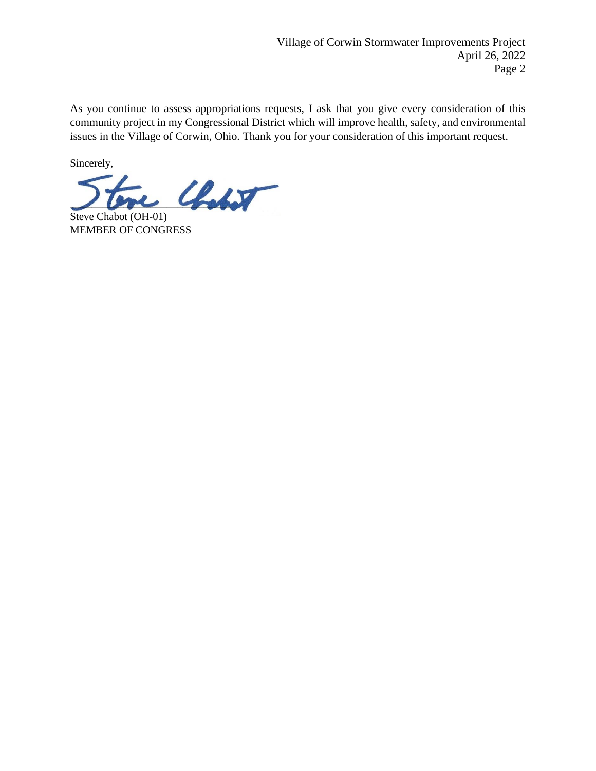As you continue to assess appropriations requests, I ask that you give every consideration of this community project in my Congressional District which will improve health, safety, and environmental issues in the Village of Corwin, Ohio. Thank you for your consideration of this important request.

Sincerely,

 $\mathcal{L}_{\text{adv}}$ 

Steve Chabot (OH-01) MEMBER OF CONGRESS